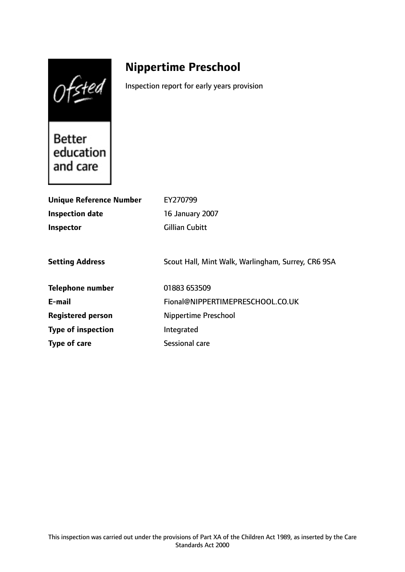Ofsted

# **Nippertime Preschool**

Inspection report for early years provision

**Better** education and care

| <b>Unique Reference Number</b> | EY270799                                           |
|--------------------------------|----------------------------------------------------|
| Inspection date                | 16 January 2007                                    |
| Inspector                      | Gillian Cubitt                                     |
|                                |                                                    |
| <b>Setting Address</b>         | Scout Hall, Mint Walk, Warlingham, Surrey, CR6 9SA |
| <b>Telephone number</b>        | 01883 653509                                       |
| E-mail                         | Fional@NIPPERTIMEPRESCHOOL.CO.UK                   |
| <b>Registered person</b>       | Nippertime Preschool                               |
| <b>Type of inspection</b>      | Integrated                                         |
| Type of care                   | Sessional care                                     |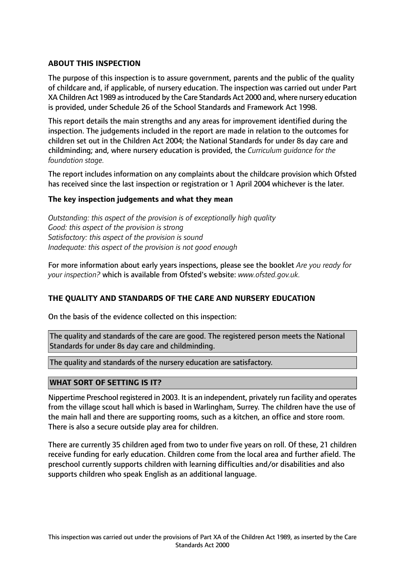# **ABOUT THIS INSPECTION**

The purpose of this inspection is to assure government, parents and the public of the quality of childcare and, if applicable, of nursery education. The inspection was carried out under Part XA Children Act 1989 asintroduced by the Care Standards Act 2000 and, where nursery education is provided, under Schedule 26 of the School Standards and Framework Act 1998.

This report details the main strengths and any areas for improvement identified during the inspection. The judgements included in the report are made in relation to the outcomes for children set out in the Children Act 2004; the National Standards for under 8s day care and childminding; and, where nursery education is provided, the *Curriculum guidance for the foundation stage.*

The report includes information on any complaints about the childcare provision which Ofsted has received since the last inspection or registration or 1 April 2004 whichever is the later.

## **The key inspection judgements and what they mean**

*Outstanding: this aspect of the provision is of exceptionally high quality Good: this aspect of the provision is strong Satisfactory: this aspect of the provision is sound Inadequate: this aspect of the provision is not good enough*

For more information about early years inspections, please see the booklet *Are you ready for your inspection?* which is available from Ofsted's website: *www.ofsted.gov.uk.*

## **THE QUALITY AND STANDARDS OF THE CARE AND NURSERY EDUCATION**

On the basis of the evidence collected on this inspection:

The quality and standards of the care are good. The registered person meets the National Standards for under 8s day care and childminding.

The quality and standards of the nursery education are satisfactory.

## **WHAT SORT OF SETTING IS IT?**

Nippertime Preschool registered in 2003. It is an independent, privately run facility and operates from the village scout hall which is based in Warlingham, Surrey. The children have the use of the main hall and there are supporting rooms, such as a kitchen, an office and store room. There is also a secure outside play area for children.

There are currently 35 children aged from two to under five years on roll. Of these, 21 children receive funding for early education. Children come from the local area and further afield. The preschool currently supports children with learning difficulties and/or disabilities and also supports children who speak English as an additional language.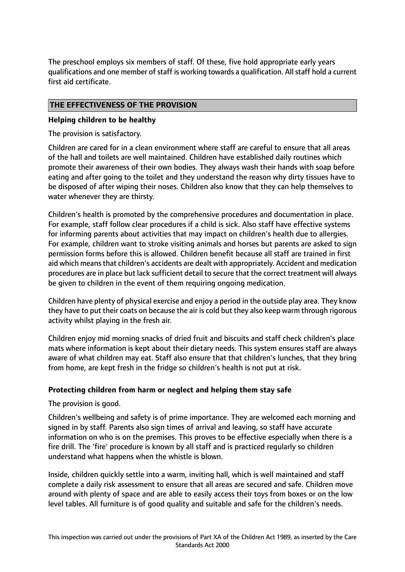The preschool employs six members of staff. Of these, five hold appropriate early years qualifications and one member of staff is working towards a qualification. All staff hold a current first aid certificate.

# **THE EFFECTIVENESS OF THE PROVISION**

## **Helping children to be healthy**

The provision is satisfactory.

Children are cared for in a clean environment where staff are careful to ensure that all areas of the hall and toilets are well maintained. Children have established daily routines which promote their awareness of their own bodies. They always wash their hands with soap before eating and after going to the toilet and they understand the reason why dirty tissues have to be disposed of after wiping their noses. Children also know that they can help themselves to water whenever they are thirsty.

Children's health is promoted by the comprehensive procedures and documentation in place. For example, staff follow clear procedures if a child is sick. Also staff have effective systems for informing parents about activities that may impact on children's health due to allergies. For example, children want to stroke visiting animals and horses but parents are asked to sign permission forms before this is allowed. Children benefit because all staff are trained in first aid which means that children's accidents are dealt with appropriately. Accident and medication procedures are in place but lack sufficient detail to secure that the correct treatment will always be given to children in the event of them requiring ongoing medication.

Children have plenty of physical exercise and enjoy a period in the outside play area. They know they have to put their coats on because the air is cold but they also keep warm through rigorous activity whilst playing in the fresh air.

Children enjoy mid morning snacks of dried fruit and biscuits and staff check children's place mats where information is kept about their dietary needs. This system ensures staff are always aware of what children may eat. Staff also ensure that that children's lunches, that they bring from home, are kept fresh in the fridge so children's health is not put at risk.

## **Protecting children from harm or neglect and helping them stay safe**

The provision is good.

Children's wellbeing and safety is of prime importance. They are welcomed each morning and signed in by staff. Parents also sign times of arrival and leaving, so staff have accurate information on who is on the premises. This proves to be effective especially when there is a fire drill. The 'fire' procedure is known by all staff and is practiced regularly so children understand what happens when the whistle is blown.

Inside, children quickly settle into a warm, inviting hall, which is well maintained and staff complete a daily risk assessment to ensure that all areas are secured and safe. Children move around with plenty of space and are able to easily access their toys from boxes or on the low level tables. All furniture is of good quality and suitable and safe for the children's needs.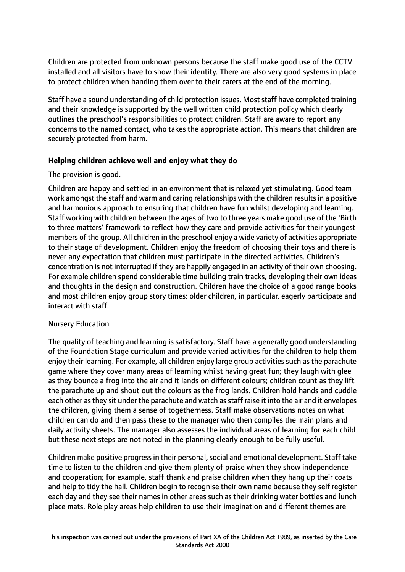Children are protected from unknown persons because the staff make good use of the CCTV installed and all visitors have to show their identity. There are also very good systems in place to protect children when handing them over to their carers at the end of the morning.

Staff have a sound understanding of child protection issues. Most staff have completed training and their knowledge is supported by the well written child protection policy which clearly outlines the preschool's responsibilities to protect children. Staff are aware to report any concerns to the named contact, who takes the appropriate action. This means that children are securely protected from harm.

## **Helping children achieve well and enjoy what they do**

# The provision is good.

Children are happy and settled in an environment that is relaxed yet stimulating. Good team work amongst the staff and warm and caring relationships with the children resultsin a positive and harmonious approach to ensuring that children have fun whilst developing and learning. Staff working with children between the ages of two to three years make good use of the 'Birth to three matters' framework to reflect how they care and provide activities for their youngest members of the group. All children in the preschool enjoy a wide variety of activities appropriate to their stage of development. Children enjoy the freedom of choosing their toys and there is never any expectation that children must participate in the directed activities. Children's concentration is not interrupted if they are happily engaged in an activity of their own choosing. For example children spend considerable time building train tracks, developing their own ideas and thoughts in the design and construction. Children have the choice of a good range books and most children enjoy group story times; older children, in particular, eagerly participate and interact with staff.

## Nursery Education

The quality of teaching and learning is satisfactory. Staff have a generally good understanding of the Foundation Stage curriculum and provide varied activities for the children to help them enjoy their learning. For example, all children enjoy large group activities such as the parachute game where they cover many areas of learning whilst having great fun; they laugh with glee as they bounce a frog into the air and it lands on different colours; children count as they lift the parachute up and shout out the colours as the frog lands. Children hold hands and cuddle each other as they sit under the parachute and watch as staff raise it into the air and it envelopes the children, giving them a sense of togetherness. Staff make observations notes on what children can do and then pass these to the manager who then compiles the main plans and daily activity sheets. The manager also assesses the individual areas of learning for each child but these next steps are not noted in the planning clearly enough to be fully useful.

Children make positive progress in their personal, social and emotional development. Staff take time to listen to the children and give them plenty of praise when they show independence and cooperation; for example, staff thank and praise children when they hang up their coats and help to tidy the hall. Children begin to recognise their own name because they self register each day and they see their names in other areas such as their drinking water bottles and lunch place mats. Role play areas help children to use their imagination and different themes are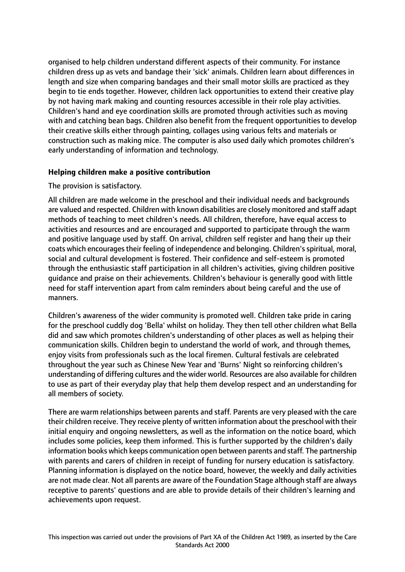organised to help children understand different aspects of their community. For instance children dress up as vets and bandage their 'sick' animals. Children learn about differences in length and size when comparing bandages and their small motor skills are practiced as they begin to tie ends together. However, children lack opportunities to extend their creative play by not having mark making and counting resources accessible in their role play activities. Children's hand and eye coordination skills are promoted through activities such as moving with and catching bean bags. Children also benefit from the frequent opportunities to develop their creative skills either through painting, collages using various felts and materials or construction such as making mice. The computer is also used daily which promotes children's early understanding of information and technology.

# **Helping children make a positive contribution**

The provision is satisfactory.

All children are made welcome in the preschool and their individual needs and backgrounds are valued and respected. Children with known disabilities are closely monitored and staff adapt methods of teaching to meet children's needs. All children, therefore, have equal access to activities and resources and are encouraged and supported to participate through the warm and positive language used by staff. On arrival, children self register and hang their up their coats which encourages their feeling of independence and belonging. Children's spiritual, moral, social and cultural development is fostered. Their confidence and self-esteem is promoted through the enthusiastic staff participation in all children's activities, giving children positive guidance and praise on their achievements. Children's behaviour is generally good with little need for staff intervention apart from calm reminders about being careful and the use of manners.

Children's awareness of the wider community is promoted well. Children take pride in caring for the preschool cuddly dog 'Bella' whilst on holiday. They then tell other children what Bella did and saw which promotes children's understanding of other places as well as helping their communication skills. Children begin to understand the world of work, and through themes, enjoy visits from professionals such as the local firemen. Cultural festivals are celebrated throughout the year such as Chinese New Year and 'Burns' Night so reinforcing children's understanding of differing cultures and the wider world. Resources are also available for children to use as part of their everyday play that help them develop respect and an understanding for all members of society.

There are warm relationships between parents and staff. Parents are very pleased with the care their children receive. They receive plenty of written information about the preschool with their initial enquiry and ongoing newsletters, as well as the information on the notice board, which includes some policies, keep them informed. This is further supported by the children's daily information books which keeps communication open between parents and staff. The partnership with parents and carers of children in receipt of funding for nursery education is satisfactory. Planning information is displayed on the notice board, however, the weekly and daily activities are not made clear. Not all parents are aware of the Foundation Stage although staff are always receptive to parents' questions and are able to provide details of their children's learning and achievements upon request.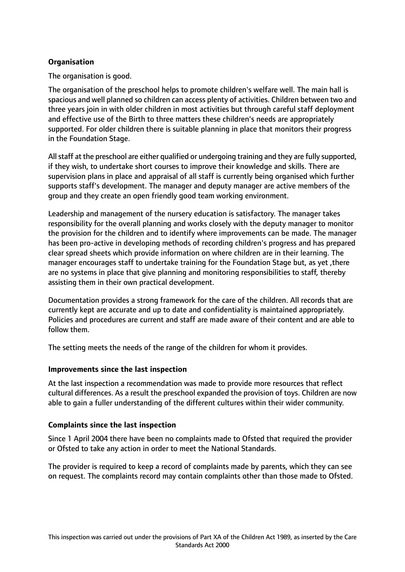# **Organisation**

The organisation is good.

The organisation of the preschool helps to promote children's welfare well. The main hall is spacious and well planned so children can access plenty of activities. Children between two and three years join in with older children in most activities but through careful staff deployment and effective use of the Birth to three matters these children's needs are appropriately supported. For older children there is suitable planning in place that monitors their progress in the Foundation Stage.

Allstaff at the preschool are either qualified or undergoing training and they are fully supported, if they wish, to undertake short courses to improve their knowledge and skills. There are supervision plans in place and appraisal of all staff is currently being organised which further supports staff's development. The manager and deputy manager are active members of the group and they create an open friendly good team working environment.

Leadership and management of the nursery education is satisfactory. The manager takes responsibility for the overall planning and works closely with the deputy manager to monitor the provision for the children and to identify where improvements can be made. The manager has been pro-active in developing methods of recording children's progress and has prepared clear spread sheets which provide information on where children are in their learning. The manager encourages staff to undertake training for the Foundation Stage but, as yet ,there are no systems in place that give planning and monitoring responsibilities to staff, thereby assisting them in their own practical development.

Documentation provides a strong framework for the care of the children. All records that are currently kept are accurate and up to date and confidentiality is maintained appropriately. Policies and procedures are current and staff are made aware of their content and are able to follow them.

The setting meets the needs of the range of the children for whom it provides.

## **Improvements since the last inspection**

At the last inspection a recommendation was made to provide more resources that reflect cultural differences. As a result the preschool expanded the provision of toys. Children are now able to gain a fuller understanding of the different cultures within their wider community.

## **Complaints since the last inspection**

Since 1 April 2004 there have been no complaints made to Ofsted that required the provider or Ofsted to take any action in order to meet the National Standards.

The provider is required to keep a record of complaints made by parents, which they can see on request. The complaints record may contain complaints other than those made to Ofsted.